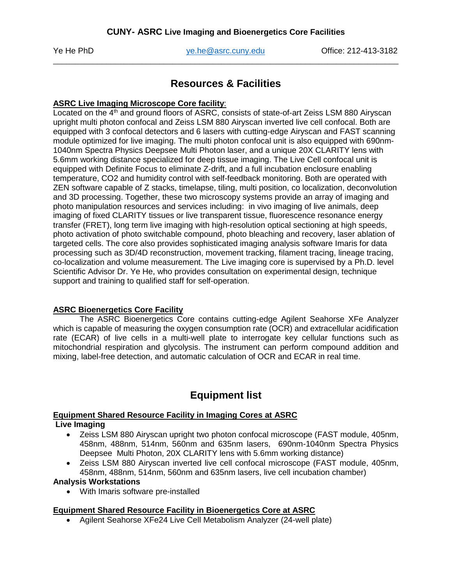Ye He PhD [ye.he@asrc.cuny.edu](mailto:ye.he@asrc.cuny.edu) Office: 212-413-3182 \_\_\_\_\_\_\_\_\_\_\_\_\_\_\_\_\_\_\_\_\_\_\_\_\_\_\_\_\_\_\_\_\_\_\_\_\_\_\_\_\_\_\_\_\_\_\_\_\_\_\_\_\_\_\_\_\_\_\_\_\_\_\_\_\_\_\_\_\_\_\_\_\_\_\_\_\_\_

## **Resources & Facilities**

## **ASRC Live Imaging Microscope Core facility**:

Located on the 4<sup>th</sup> and ground floors of ASRC, consists of state-of-art Zeiss LSM 880 Airyscan upright multi photon confocal and Zeiss LSM 880 Airyscan inverted live cell confocal. Both are equipped with 3 confocal detectors and 6 lasers with cutting-edge Airyscan and FAST scanning module optimized for live imaging. The multi photon confocal unit is also equipped with 690nm-1040nm Spectra Physics Deepsee Multi Photon laser, and a unique 20X CLARITY lens with 5.6mm working distance specialized for deep tissue imaging. The Live Cell confocal unit is equipped with Definite Focus to eliminate Z-drift, and a full incubation enclosure enabling temperature, CO2 and humidity control with self-feedback monitoring. Both are operated with ZEN software capable of Z stacks, timelapse, tiling, multi position, co localization, deconvolution and 3D processing. Together, these two microscopy systems provide an array of imaging and photo manipulation resources and services including: in vivo imaging of live animals, deep imaging of fixed CLARITY tissues or live transparent tissue, fluorescence resonance energy transfer (FRET), long term live imaging with high-resolution optical sectioning at high speeds, photo activation of photo switchable compound, photo bleaching and recovery, laser ablation of targeted cells. The core also provides sophisticated imaging analysis software Imaris for data processing such as 3D/4D reconstruction, movement tracking, filament tracing, lineage tracing, co-localization and volume measurement. The Live imaging core is supervised by a Ph.D. level Scientific Advisor Dr. Ye He, who provides consultation on experimental design, technique support and training to qualified staff for self-operation.

## **ASRC Bioenergetics Core Facility**

The ASRC Bioenergetics Core contains cutting-edge Agilent Seahorse XFe Analyzer which is capable of measuring the oxygen consumption rate (OCR) and extracellular acidification rate (ECAR) of live cells in a multi-well plate to interrogate key cellular functions such as mitochondrial respiration and glycolysis. The instrument can perform compound addition and mixing, label-free detection, and automatic calculation of OCR and ECAR in real time.

# **Equipment list**

#### **Equipment Shared Resource Facility in Imaging Cores at ASRC Live Imaging**

#### • Zeiss LSM 880 Airyscan upright two photon confocal microscope (FAST module, 405nm, 458nm, 488nm, 514nm, 560nm and 635nm lasers, 690nm-1040nm Spectra Physics Deepsee Multi Photon, 20X CLARITY lens with 5.6mm working distance)

• Zeiss LSM 880 Airyscan inverted live cell confocal microscope (FAST module, 405nm, 458nm, 488nm, 514nm, 560nm and 635nm lasers, live cell incubation chamber)

#### **Analysis Workstations**

• With Imaris software pre-installed

## **Equipment Shared Resource Facility in Bioenergetics Core at ASRC**

• Agilent Seahorse XFe24 Live Cell Metabolism Analyzer (24-well plate)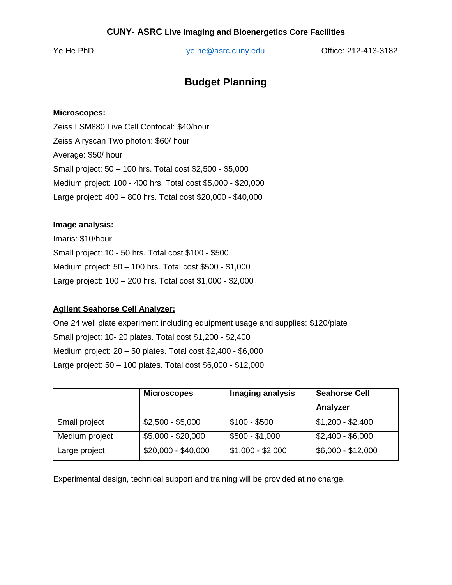Ye He PhD [ye.he@asrc.cuny.edu](mailto:ye.he@asrc.cuny.edu) Office: 212-413-3182 \_\_\_\_\_\_\_\_\_\_\_\_\_\_\_\_\_\_\_\_\_\_\_\_\_\_\_\_\_\_\_\_\_\_\_\_\_\_\_\_\_\_\_\_\_\_\_\_\_\_\_\_\_\_\_\_\_\_\_\_\_\_\_\_\_\_\_\_\_\_\_\_\_\_\_\_\_\_

## **Budget Planning**

#### **Microscopes:**

Zeiss LSM880 Live Cell Confocal: \$40/hour Zeiss Airyscan Two photon: \$60/ hour Average: \$50/ hour Small project: 50 – 100 hrs. Total cost \$2,500 - \$5,000 Medium project: 100 - 400 hrs. Total cost \$5,000 - \$20,000 Large project: 400 – 800 hrs. Total cost \$20,000 - \$40,000

#### **Image analysis:**

Imaris: \$10/hour Small project: 10 - 50 hrs. Total cost \$100 - \$500 Medium project: 50 – 100 hrs. Total cost \$500 - \$1,000 Large project: 100 – 200 hrs. Total cost \$1,000 - \$2,000

## **Agilent Seahorse Cell Analyzer:**

One 24 well plate experiment including equipment usage and supplies: \$120/plate Small project: 10- 20 plates. Total cost \$1,200 - \$2,400 Medium project: 20 – 50 plates. Total cost \$2,400 - \$6,000 Large project: 50 – 100 plates. Total cost \$6,000 - \$12,000

|                | <b>Microscopes</b>  | Imaging analysis  | <b>Seahorse Cell</b> |
|----------------|---------------------|-------------------|----------------------|
|                |                     |                   | Analyzer             |
| Small project  | $$2,500 - $5,000$   | $$100 - $500$     | $$1,200 - $2,400$    |
| Medium project | $$5,000 - $20,000$  | $$500 - $1,000$   | $$2,400 - $6,000$    |
| Large project  | $$20,000 - $40,000$ | $$1,000 - $2,000$ | $$6,000 - $12,000$   |

Experimental design, technical support and training will be provided at no charge.